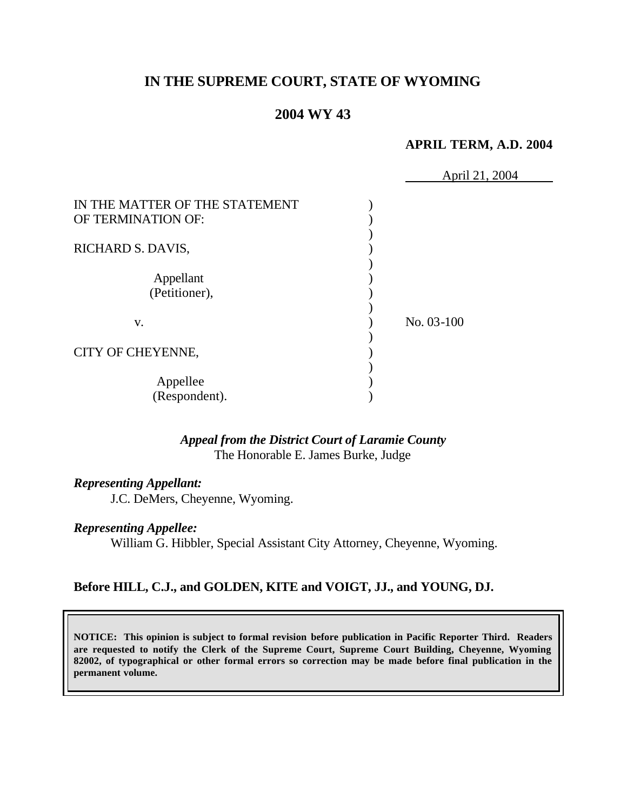# **IN THE SUPREME COURT, STATE OF WYOMING**

# **2004 WY 43**

### **APRIL TERM, A.D. 2004**

|                                                      | April 21, 2004 |  |
|------------------------------------------------------|----------------|--|
| IN THE MATTER OF THE STATEMENT<br>OF TERMINATION OF: |                |  |
| RICHARD S. DAVIS,                                    |                |  |
| Appellant<br>(Petitioner),                           |                |  |
| V.                                                   | No. 03-100     |  |
| CITY OF CHEYENNE,                                    |                |  |
| Appellee<br>(Respondent).                            |                |  |

## *Appeal from the District Court of Laramie County* The Honorable E. James Burke, Judge

#### *Representing Appellant:*

J.C. DeMers, Cheyenne, Wyoming.

#### *Representing Appellee:*

William G. Hibbler, Special Assistant City Attorney, Cheyenne, Wyoming.

## **Before HILL, C.J., and GOLDEN, KITE and VOIGT, JJ., and YOUNG, DJ.**

**NOTICE: This opinion is subject to formal revision before publication in Pacific Reporter Third. Readers are requested to notify the Clerk of the Supreme Court, Supreme Court Building, Cheyenne, Wyoming 82002, of typographical or other formal errors so correction may be made before final publication in the permanent volume.**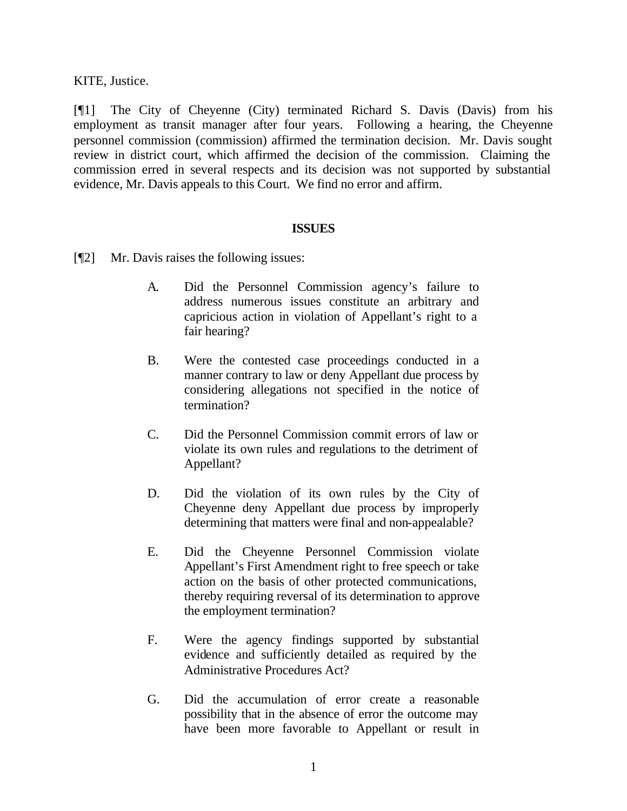KITE, Justice.

[¶1] The City of Cheyenne (City) terminated Richard S. Davis (Davis) from his employment as transit manager after four years. Following a hearing, the Cheyenne personnel commission (commission) affirmed the termination decision. Mr. Davis sought review in district court, which affirmed the decision of the commission. Claiming the commission erred in several respects and its decision was not supported by substantial evidence, Mr. Davis appeals to this Court. We find no error and affirm.

### **ISSUES**

- [¶2] Mr. Davis raises the following issues:
	- A. Did the Personnel Commission agency's failure to address numerous issues constitute an arbitrary and capricious action in violation of Appellant's right to a fair hearing?
	- B. Were the contested case proceedings conducted in a manner contrary to law or deny Appellant due process by considering allegations not specified in the notice of termination?
	- C. Did the Personnel Commission commit errors of law or violate its own rules and regulations to the detriment of Appellant?
	- D. Did the violation of its own rules by the City of Cheyenne deny Appellant due process by improperly determining that matters were final and non-appealable?
	- E. Did the Cheyenne Personnel Commission violate Appellant's First Amendment right to free speech or take action on the basis of other protected communications, thereby requiring reversal of its determination to approve the employment termination?
	- F. Were the agency findings supported by substantial evidence and sufficiently detailed as required by the Administrative Procedures Act?
	- G. Did the accumulation of error create a reasonable possibility that in the absence of error the outcome may have been more favorable to Appellant or result in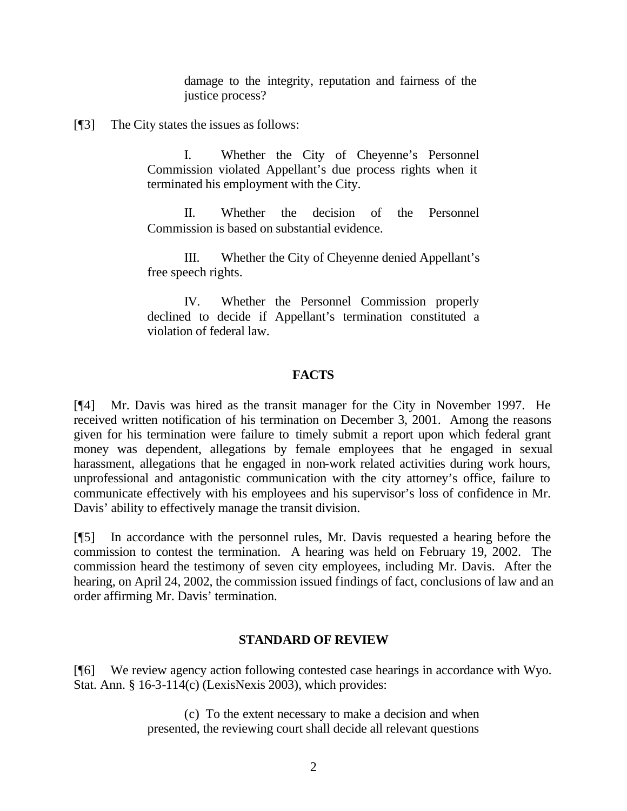damage to the integrity, reputation and fairness of the justice process?

[¶3] The City states the issues as follows:

I. Whether the City of Cheyenne's Personnel Commission violated Appellant's due process rights when it terminated his employment with the City.

II. Whether the decision of the Personnel Commission is based on substantial evidence.

III. Whether the City of Cheyenne denied Appellant's free speech rights.

IV. Whether the Personnel Commission properly declined to decide if Appellant's termination constituted a violation of federal law.

### **FACTS**

[¶4] Mr. Davis was hired as the transit manager for the City in November 1997. He received written notification of his termination on December 3, 2001. Among the reasons given for his termination were failure to timely submit a report upon which federal grant money was dependent, allegations by female employees that he engaged in sexual harassment, allegations that he engaged in non-work related activities during work hours, unprofessional and antagonistic communication with the city attorney's office, failure to communicate effectively with his employees and his supervisor's loss of confidence in Mr. Davis' ability to effectively manage the transit division.

[¶5] In accordance with the personnel rules, Mr. Davis requested a hearing before the commission to contest the termination. A hearing was held on February 19, 2002. The commission heard the testimony of seven city employees, including Mr. Davis. After the hearing, on April 24, 2002, the commission issued findings of fact, conclusions of law and an order affirming Mr. Davis' termination.

### **STANDARD OF REVIEW**

[¶6] We review agency action following contested case hearings in accordance with Wyo. Stat. Ann. § 16-3-114(c) (LexisNexis 2003), which provides:

> (c) To the extent necessary to make a decision and when presented, the reviewing court shall decide all relevant questions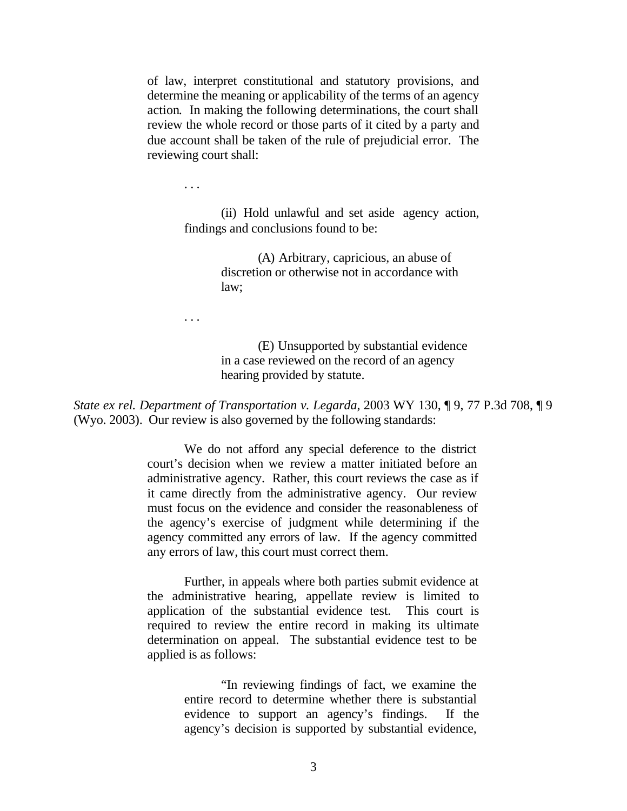of law, interpret constitutional and statutory provisions, and determine the meaning or applicability of the terms of an agency action. In making the following determinations, the court shall review the whole record or those parts of it cited by a party and due account shall be taken of the rule of prejudicial error. The reviewing court shall:

. . .

. . .

(ii) Hold unlawful and set aside agency action, findings and conclusions found to be:

> (A) Arbitrary, capricious, an abuse of discretion or otherwise not in accordance with law;

(E) Unsupported by substantial evidence in a case reviewed on the record of an agency hearing provided by statute.

*State ex rel. Department of Transportation v. Legarda*, 2003 WY 130, ¶ 9, 77 P.3d 708, ¶ 9 (Wyo. 2003). Our review is also governed by the following standards:

> We do not afford any special deference to the district court's decision when we review a matter initiated before an administrative agency. Rather, this court reviews the case as if it came directly from the administrative agency. Our review must focus on the evidence and consider the reasonableness of the agency's exercise of judgment while determining if the agency committed any errors of law. If the agency committed any errors of law, this court must correct them.

> Further, in appeals where both parties submit evidence at the administrative hearing, appellate review is limited to application of the substantial evidence test. This court is required to review the entire record in making its ultimate determination on appeal. The substantial evidence test to be applied is as follows:

> > "In reviewing findings of fact, we examine the entire record to determine whether there is substantial evidence to support an agency's findings. If the agency's decision is supported by substantial evidence,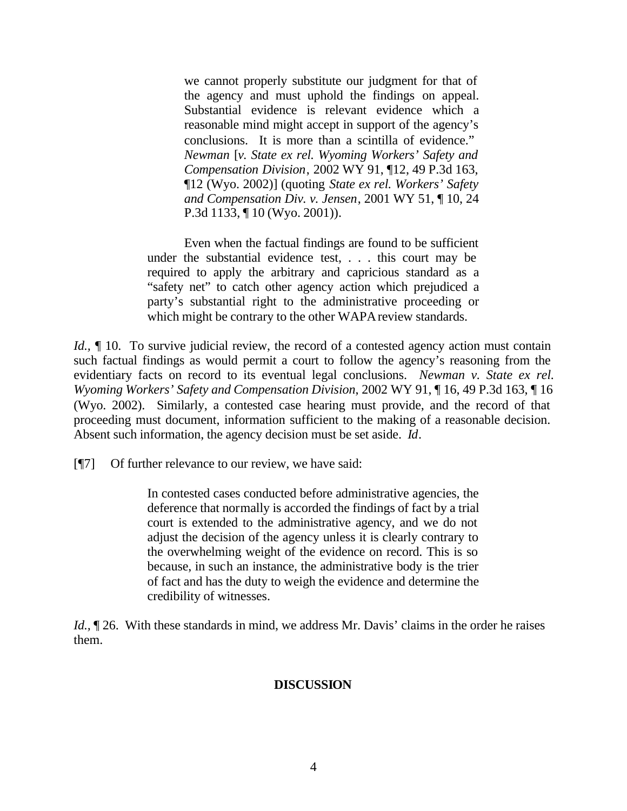we cannot properly substitute our judgment for that of the agency and must uphold the findings on appeal. Substantial evidence is relevant evidence which a reasonable mind might accept in support of the agency's conclusions. It is more than a scintilla of evidence." *Newman* [*v. State ex rel. Wyoming Workers' Safety and Compensation Division*, 2002 WY 91, ¶12, 49 P.3d 163, ¶12 (Wyo. 2002)] (quoting *State ex rel. Workers' Safety and Compensation Div. v. Jensen*, 2001 WY 51, ¶ 10, 24 P.3d 1133, ¶ 10 (Wyo. 2001)).

Even when the factual findings are found to be sufficient under the substantial evidence test, . . . this court may be required to apply the arbitrary and capricious standard as a "safety net" to catch other agency action which prejudiced a party's substantial right to the administrative proceeding or which might be contrary to the other WAPA review standards.

*Id.*,  $\parallel$  10. To survive judicial review, the record of a contested agency action must contain such factual findings as would permit a court to follow the agency's reasoning from the evidentiary facts on record to its eventual legal conclusions. *Newman v. State ex rel. Wyoming Workers' Safety and Compensation Division*, 2002 WY 91, ¶ 16, 49 P.3d 163, ¶ 16 (Wyo. 2002). Similarly, a contested case hearing must provide, and the record of that proceeding must document, information sufficient to the making of a reasonable decision. Absent such information, the agency decision must be set aside. *Id*.

[¶7] Of further relevance to our review, we have said:

In contested cases conducted before administrative agencies, the deference that normally is accorded the findings of fact by a trial court is extended to the administrative agency, and we do not adjust the decision of the agency unless it is clearly contrary to the overwhelming weight of the evidence on record. This is so because, in such an instance, the administrative body is the trier of fact and has the duty to weigh the evidence and determine the credibility of witnesses.

*Id.*,  $\mathbb{I}$  26. With these standards in mind, we address Mr. Davis' claims in the order he raises them.

### **DISCUSSION**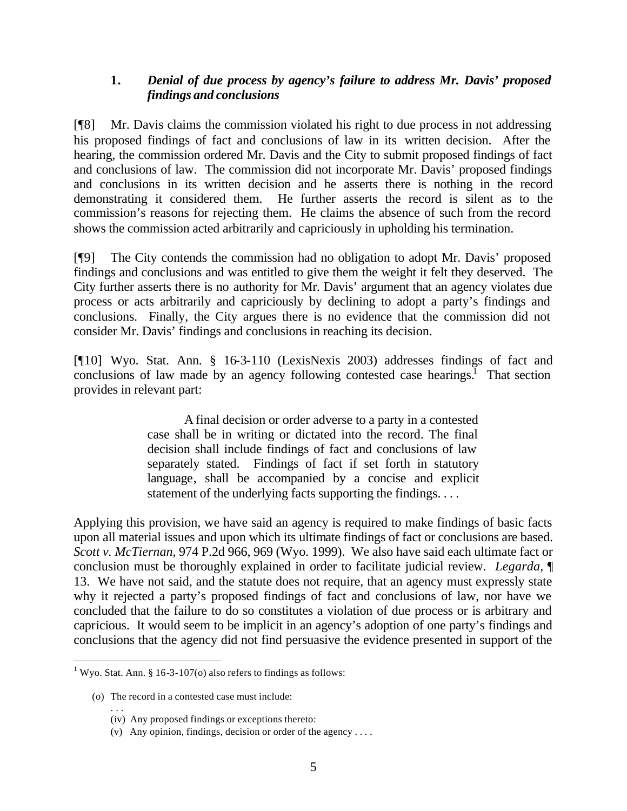## **1.** *Denial of due process by agency's failure to address Mr. Davis' proposed findings and conclusions*

[¶8] Mr. Davis claims the commission violated his right to due process in not addressing his proposed findings of fact and conclusions of law in its written decision. After the hearing, the commission ordered Mr. Davis and the City to submit proposed findings of fact and conclusions of law. The commission did not incorporate Mr. Davis' proposed findings and conclusions in its written decision and he asserts there is nothing in the record demonstrating it considered them. He further asserts the record is silent as to the commission's reasons for rejecting them. He claims the absence of such from the record shows the commission acted arbitrarily and capriciously in upholding his termination.

[¶9] The City contends the commission had no obligation to adopt Mr. Davis' proposed findings and conclusions and was entitled to give them the weight it felt they deserved. The City further asserts there is no authority for Mr. Davis' argument that an agency violates due process or acts arbitrarily and capriciously by declining to adopt a party's findings and conclusions. Finally, the City argues there is no evidence that the commission did not consider Mr. Davis' findings and conclusions in reaching its decision.

[¶10] Wyo. Stat. Ann. § 16-3-110 (LexisNexis 2003) addresses findings of fact and conclusions of law made by an agency following contested case hearings.<sup>1</sup> That section provides in relevant part:

> A final decision or order adverse to a party in a contested case shall be in writing or dictated into the record. The final decision shall include findings of fact and conclusions of law separately stated. Findings of fact if set forth in statutory language, shall be accompanied by a concise and explicit statement of the underlying facts supporting the findings. . . .

Applying this provision, we have said an agency is required to make findings of basic facts upon all material issues and upon which its ultimate findings of fact or conclusions are based. *Scott v. McTiernan*, 974 P.2d 966, 969 (Wyo. 1999). We also have said each ultimate fact or conclusion must be thoroughly explained in order to facilitate judicial review. *Legarda,* ¶ 13. We have not said, and the statute does not require, that an agency must expressly state why it rejected a party's proposed findings of fact and conclusions of law, nor have we concluded that the failure to do so constitutes a violation of due process or is arbitrary and capricious. It would seem to be implicit in an agency's adoption of one party's findings and conclusions that the agency did not find persuasive the evidence presented in support of the

 1 Wyo. Stat. Ann. § 16-3-107(o) also refers to findings as follows:

<sup>(</sup>o) The record in a contested case must include:

<sup>. . .</sup> (iv) Any proposed findings or exceptions thereto:

<sup>(</sup>v) Any opinion, findings, decision or order of the agency . . . .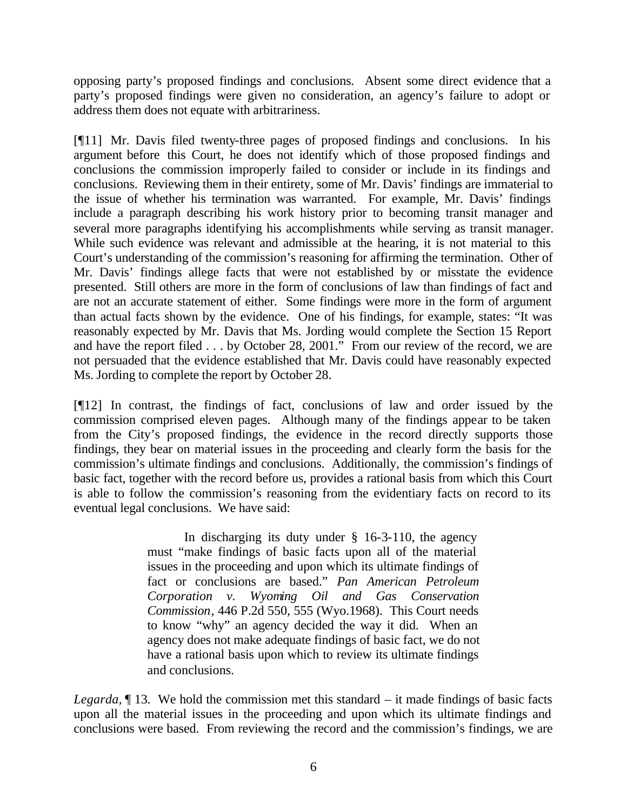opposing party's proposed findings and conclusions. Absent some direct evidence that a party's proposed findings were given no consideration, an agency's failure to adopt or address them does not equate with arbitrariness.

[¶11] Mr. Davis filed twenty-three pages of proposed findings and conclusions. In his argument before this Court, he does not identify which of those proposed findings and conclusions the commission improperly failed to consider or include in its findings and conclusions. Reviewing them in their entirety, some of Mr. Davis' findings are immaterial to the issue of whether his termination was warranted. For example, Mr. Davis' findings include a paragraph describing his work history prior to becoming transit manager and several more paragraphs identifying his accomplishments while serving as transit manager. While such evidence was relevant and admissible at the hearing, it is not material to this Court's understanding of the commission's reasoning for affirming the termination. Other of Mr. Davis' findings allege facts that were not established by or misstate the evidence presented. Still others are more in the form of conclusions of law than findings of fact and are not an accurate statement of either. Some findings were more in the form of argument than actual facts shown by the evidence. One of his findings, for example, states: "It was reasonably expected by Mr. Davis that Ms. Jording would complete the Section 15 Report and have the report filed . . . by October 28, 2001." From our review of the record, we are not persuaded that the evidence established that Mr. Davis could have reasonably expected Ms. Jording to complete the report by October 28.

[¶12] In contrast, the findings of fact, conclusions of law and order issued by the commission comprised eleven pages. Although many of the findings appear to be taken from the City's proposed findings, the evidence in the record directly supports those findings, they bear on material issues in the proceeding and clearly form the basis for the commission's ultimate findings and conclusions. Additionally, the commission's findings of basic fact, together with the record before us, provides a rational basis from which this Court is able to follow the commission's reasoning from the evidentiary facts on record to its eventual legal conclusions. We have said:

> In discharging its duty under § 16-3-110, the agency must "make findings of basic facts upon all of the material issues in the proceeding and upon which its ultimate findings of fact or conclusions are based." *Pan American Petroleum Corporation v. Wyoming Oil and Gas Conservation Commission*, 446 P.2d 550, 555 (Wyo.1968). This Court needs to know "why" an agency decided the way it did. When an agency does not make adequate findings of basic fact, we do not have a rational basis upon which to review its ultimate findings and conclusions.

*Legarda,* ¶ 13. We hold the commission met this standard – it made findings of basic facts upon all the material issues in the proceeding and upon which its ultimate findings and conclusions were based. From reviewing the record and the commission's findings, we are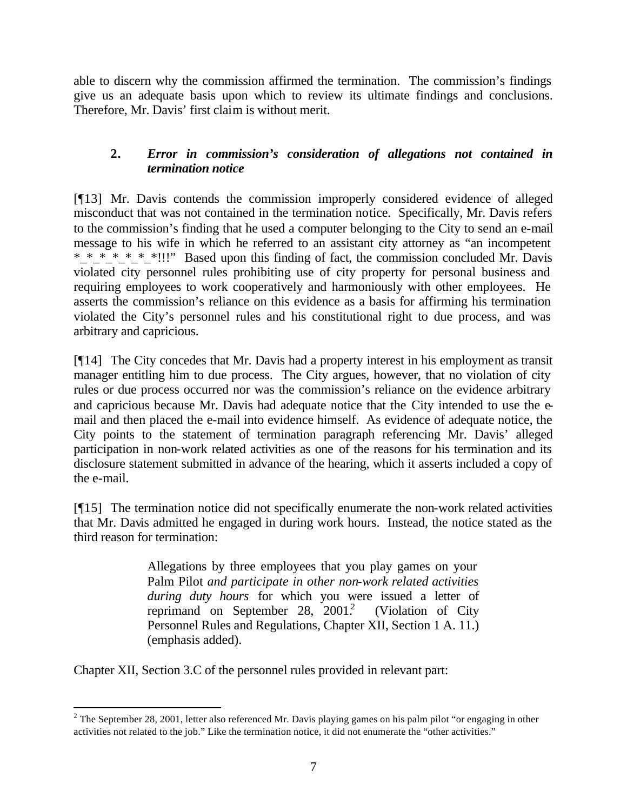able to discern why the commission affirmed the termination. The commission's findings give us an adequate basis upon which to review its ultimate findings and conclusions. Therefore, Mr. Davis' first claim is without merit.

# **2.** *Error in commission's consideration of allegations not contained in termination notice*

[¶13] Mr. Davis contends the commission improperly considered evidence of alleged misconduct that was not contained in the termination notice. Specifically, Mr. Davis refers to the commission's finding that he used a computer belonging to the City to send an e-mail message to his wife in which he referred to an assistant city attorney as "an incompetent \* \* \* \* \* \* \*!!!" Based upon this finding of fact, the commission concluded Mr. Davis violated city personnel rules prohibiting use of city property for personal business and requiring employees to work cooperatively and harmoniously with other employees. He asserts the commission's reliance on this evidence as a basis for affirming his termination violated the City's personnel rules and his constitutional right to due process, and was arbitrary and capricious.

[¶14] The City concedes that Mr. Davis had a property interest in his employment as transit manager entitling him to due process. The City argues, however, that no violation of city rules or due process occurred nor was the commission's reliance on the evidence arbitrary and capricious because Mr. Davis had adequate notice that the City intended to use the email and then placed the e-mail into evidence himself. As evidence of adequate notice, the City points to the statement of termination paragraph referencing Mr. Davis' alleged participation in non-work related activities as one of the reasons for his termination and its disclosure statement submitted in advance of the hearing, which it asserts included a copy of the e-mail.

[¶15] The termination notice did not specifically enumerate the non-work related activities that Mr. Davis admitted he engaged in during work hours. Instead, the notice stated as the third reason for termination:

> Allegations by three employees that you play games on your Palm Pilot *and participate in other non-work related activities during duty hours* for which you were issued a letter of reprimand on September 28, 2001. (Violation of City Personnel Rules and Regulations, Chapter XII, Section 1 A. 11.) (emphasis added).

Chapter XII, Section 3.C of the personnel rules provided in relevant part:

<sup>&</sup>lt;sup>2</sup> The September 28, 2001, letter also referenced Mr. Davis playing games on his palm pilot "or engaging in other activities not related to the job." Like the termination notice, it did not enumerate the "other activities."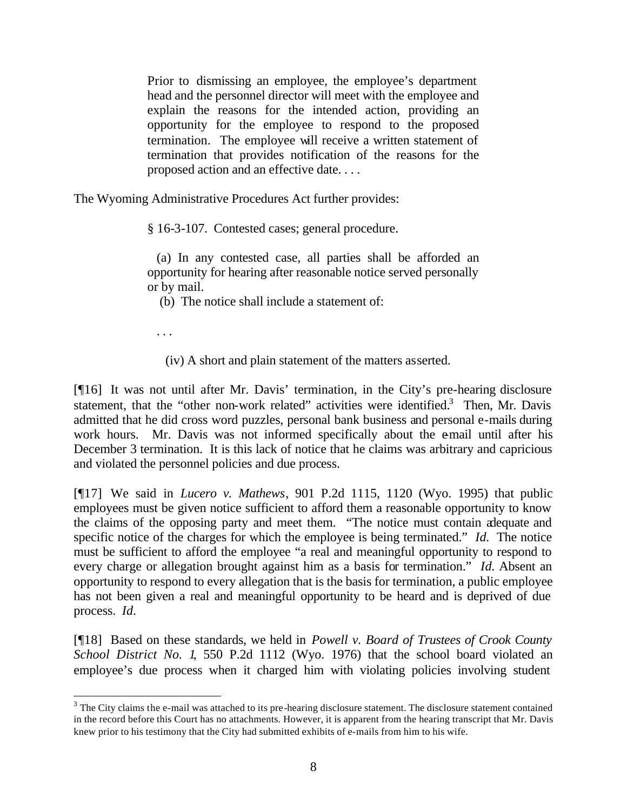Prior to dismissing an employee, the employee's department head and the personnel director will meet with the employee and explain the reasons for the intended action, providing an opportunity for the employee to respond to the proposed termination. The employee will receive a written statement of termination that provides notification of the reasons for the proposed action and an effective date. . . .

The Wyoming Administrative Procedures Act further provides:

§ 16-3-107. Contested cases; general procedure.

 (a) In any contested case, all parties shall be afforded an opportunity for hearing after reasonable notice served personally or by mail.

(b) The notice shall include a statement of:

. . .

l

(iv) A short and plain statement of the matters asserted.

[¶16] It was not until after Mr. Davis' termination, in the City's pre-hearing disclosure statement, that the "other non-work related" activities were identified. $3$  Then, Mr. Davis admitted that he did cross word puzzles, personal bank business and personal e-mails during work hours. Mr. Davis was not informed specifically about the e-mail until after his December 3 termination. It is this lack of notice that he claims was arbitrary and capricious and violated the personnel policies and due process.

[¶17] We said in *Lucero v. Mathews*, 901 P.2d 1115, 1120 (Wyo. 1995) that public employees must be given notice sufficient to afford them a reasonable opportunity to know the claims of the opposing party and meet them. "The notice must contain adequate and specific notice of the charges for which the employee is being terminated." *Id.* The notice must be sufficient to afford the employee "a real and meaningful opportunity to respond to every charge or allegation brought against him as a basis for termination." *Id.* Absent an opportunity to respond to every allegation that is the basis for termination, a public employee has not been given a real and meaningful opportunity to be heard and is deprived of due process. *Id.*

[¶18] Based on these standards, we held in *Powell v. Board of Trustees of Crook County School District No. 1*, 550 P.2d 1112 (Wyo. 1976) that the school board violated an employee's due process when it charged him with violating policies involving student

 $3$  The City claims the e-mail was attached to its pre-hearing disclosure statement. The disclosure statement contained in the record before this Court has no attachments. However, it is apparent from the hearing transcript that Mr. Davis knew prior to his testimony that the City had submitted exhibits of e-mails from him to his wife.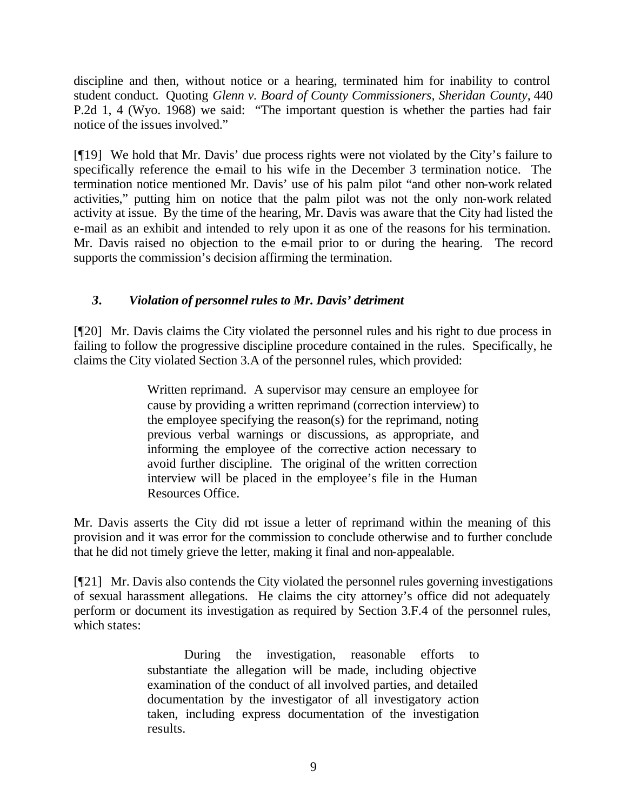discipline and then, without notice or a hearing, terminated him for inability to control student conduct. Quoting *Glenn v. Board of County Commissioners, Sheridan County*, 440 P.2d 1, 4 (Wyo. 1968) we said: "The important question is whether the parties had fair notice of the issues involved."

[¶19] We hold that Mr. Davis' due process rights were not violated by the City's failure to specifically reference the e-mail to his wife in the December 3 termination notice. The termination notice mentioned Mr. Davis' use of his palm pilot "and other non-work related activities," putting him on notice that the palm pilot was not the only non-work related activity at issue. By the time of the hearing, Mr. Davis was aware that the City had listed the e-mail as an exhibit and intended to rely upon it as one of the reasons for his termination. Mr. Davis raised no objection to the e-mail prior to or during the hearing. The record supports the commission's decision affirming the termination.

# *3. Violation of personnel rules to Mr. Davis' detriment*

[¶20] Mr. Davis claims the City violated the personnel rules and his right to due process in failing to follow the progressive discipline procedure contained in the rules. Specifically, he claims the City violated Section 3.A of the personnel rules, which provided:

> Written reprimand. A supervisor may censure an employee for cause by providing a written reprimand (correction interview) to the employee specifying the reason(s) for the reprimand, noting previous verbal warnings or discussions, as appropriate, and informing the employee of the corrective action necessary to avoid further discipline. The original of the written correction interview will be placed in the employee's file in the Human Resources Office.

Mr. Davis asserts the City did not issue a letter of reprimand within the meaning of this provision and it was error for the commission to conclude otherwise and to further conclude that he did not timely grieve the letter, making it final and non-appealable.

[¶21] Mr. Davis also contends the City violated the personnel rules governing investigations of sexual harassment allegations. He claims the city attorney's office did not adequately perform or document its investigation as required by Section 3.F.4 of the personnel rules, which states:

> During the investigation, reasonable efforts to substantiate the allegation will be made, including objective examination of the conduct of all involved parties, and detailed documentation by the investigator of all investigatory action taken, including express documentation of the investigation results.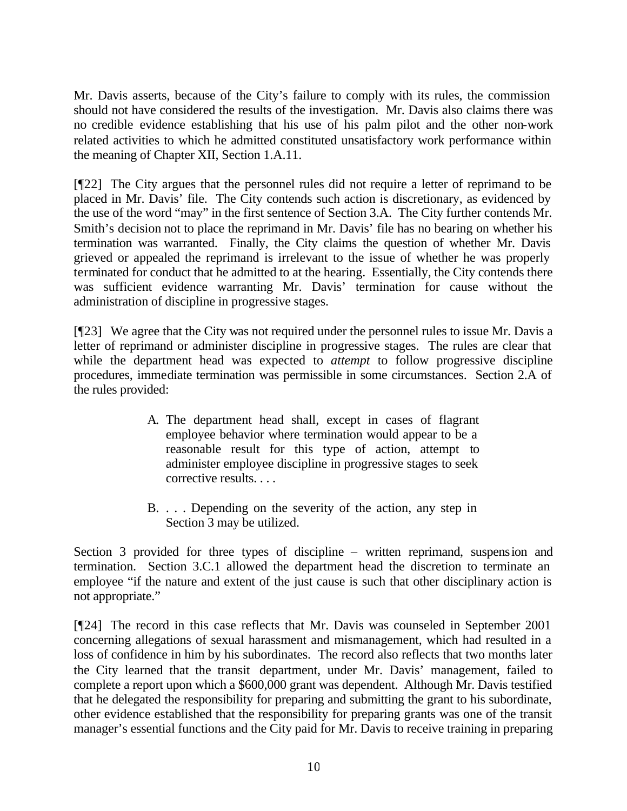Mr. Davis asserts, because of the City's failure to comply with its rules, the commission should not have considered the results of the investigation. Mr. Davis also claims there was no credible evidence establishing that his use of his palm pilot and the other non-work related activities to which he admitted constituted unsatisfactory work performance within the meaning of Chapter XII, Section 1.A.11.

[¶22] The City argues that the personnel rules did not require a letter of reprimand to be placed in Mr. Davis' file. The City contends such action is discretionary, as evidenced by the use of the word "may" in the first sentence of Section 3.A. The City further contends Mr. Smith's decision not to place the reprimand in Mr. Davis' file has no bearing on whether his termination was warranted. Finally, the City claims the question of whether Mr. Davis grieved or appealed the reprimand is irrelevant to the issue of whether he was properly terminated for conduct that he admitted to at the hearing. Essentially, the City contends there was sufficient evidence warranting Mr. Davis' termination for cause without the administration of discipline in progressive stages.

[¶23] We agree that the City was not required under the personnel rules to issue Mr. Davis a letter of reprimand or administer discipline in progressive stages. The rules are clear that while the department head was expected to *attempt* to follow progressive discipline procedures, immediate termination was permissible in some circumstances. Section 2.A of the rules provided:

- A. The department head shall, except in cases of flagrant employee behavior where termination would appear to be a reasonable result for this type of action, attempt to administer employee discipline in progressive stages to seek corrective results. . . .
- B. . . . Depending on the severity of the action, any step in Section 3 may be utilized.

Section 3 provided for three types of discipline – written reprimand, suspension and termination. Section 3.C.1 allowed the department head the discretion to terminate an employee "if the nature and extent of the just cause is such that other disciplinary action is not appropriate."

[¶24] The record in this case reflects that Mr. Davis was counseled in September 2001 concerning allegations of sexual harassment and mismanagement, which had resulted in a loss of confidence in him by his subordinates. The record also reflects that two months later the City learned that the transit department, under Mr. Davis' management, failed to complete a report upon which a \$600,000 grant was dependent. Although Mr. Davis testified that he delegated the responsibility for preparing and submitting the grant to his subordinate, other evidence established that the responsibility for preparing grants was one of the transit manager's essential functions and the City paid for Mr. Davis to receive training in preparing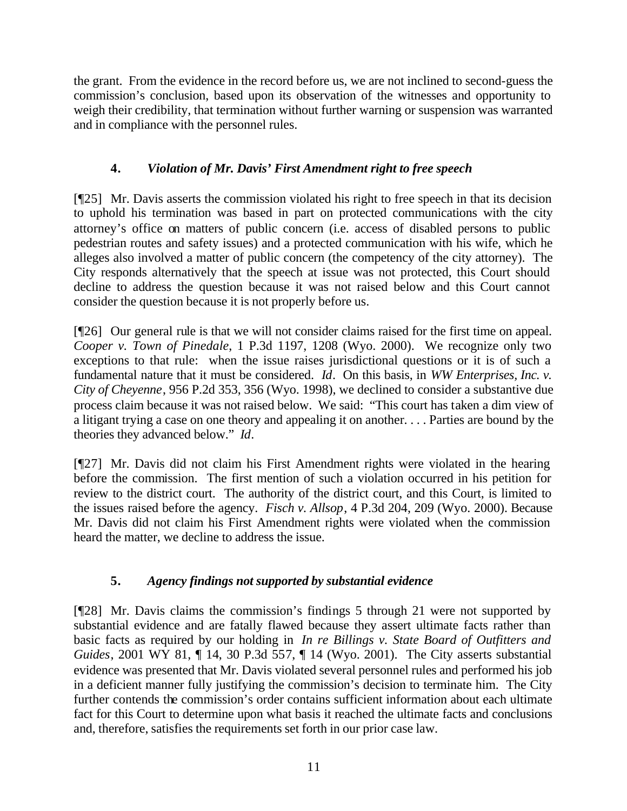the grant. From the evidence in the record before us, we are not inclined to second-guess the commission's conclusion, based upon its observation of the witnesses and opportunity to weigh their credibility, that termination without further warning or suspension was warranted and in compliance with the personnel rules.

# **4.** *Violation of Mr. Davis' First Amendment right to free speech*

[¶25] Mr. Davis asserts the commission violated his right to free speech in that its decision to uphold his termination was based in part on protected communications with the city attorney's office on matters of public concern (i.e. access of disabled persons to public pedestrian routes and safety issues) and a protected communication with his wife, which he alleges also involved a matter of public concern (the competency of the city attorney). The City responds alternatively that the speech at issue was not protected, this Court should decline to address the question because it was not raised below and this Court cannot consider the question because it is not properly before us.

[¶26] Our general rule is that we will not consider claims raised for the first time on appeal. *Cooper v. Town of Pinedale*, 1 P.3d 1197, 1208 (Wyo. 2000). We recognize only two exceptions to that rule: when the issue raises jurisdictional questions or it is of such a fundamental nature that it must be considered. *Id*. On this basis, in *WW Enterprises, Inc. v. City of Cheyenne*, 956 P.2d 353, 356 (Wyo. 1998), we declined to consider a substantive due process claim because it was not raised below. We said: "This court has taken a dim view of a litigant trying a case on one theory and appealing it on another. . . . Parties are bound by the theories they advanced below." *Id*.

[¶27] Mr. Davis did not claim his First Amendment rights were violated in the hearing before the commission. The first mention of such a violation occurred in his petition for review to the district court. The authority of the district court, and this Court, is limited to the issues raised before the agency. *Fisch v. Allsop*, 4 P.3d 204, 209 (Wyo. 2000). Because Mr. Davis did not claim his First Amendment rights were violated when the commission heard the matter, we decline to address the issue.

# **5.** *Agency findings not supported by substantial evidence*

[¶28] Mr. Davis claims the commission's findings 5 through 21 were not supported by substantial evidence and are fatally flawed because they assert ultimate facts rather than basic facts as required by our holding in *In re Billings v. State Board of Outfitters and Guides*, 2001 WY 81, 14, 30 P.3d 557, 14 (Wyo. 2001). The City asserts substantial evidence was presented that Mr. Davis violated several personnel rules and performed his job in a deficient manner fully justifying the commission's decision to terminate him. The City further contends the commission's order contains sufficient information about each ultimate fact for this Court to determine upon what basis it reached the ultimate facts and conclusions and, therefore, satisfies the requirements set forth in our prior case law.